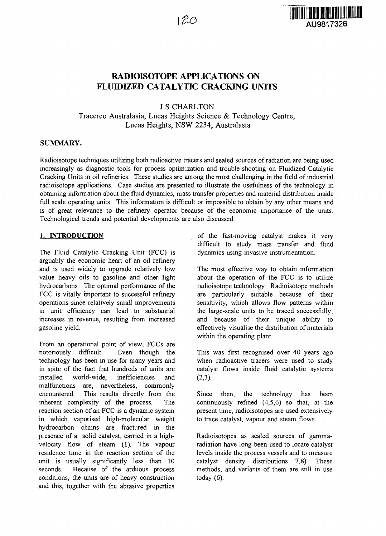

# RADIOISOTOPE APPLICATIONS ON FLUIDIZED CATALYTIC CRACKING UNITS

J S CHARLTON

Tracerco Australasia, Lucas Heights Science & Technology Centre, Lucas Heights, NSW 2234, Australasia

### **SUMMARY.**

Radioisotope techniques utilizing both radioactive tracers and sealed sources of radiation are being used increasingly as diagnostic tools for process optimization and trouble-shooting on Fluidized Catalytic Cracking Units in oil refineries. These studies are among the most challenging in the field of industrial radioisotope applications. Case studies are presented to illustrate the usefulness of the technology in obtaining information about the fluid dynamics, mass transfer properties and material distribution inside full scale operating units. This information is difficult or impossible to obtain by any other means and is of great relevance to the refinery operator because of the economic importance of the units. Technological trends and potential developments are also discussed.

### **1. INTRODUCTION**

The Fluid Catalytic Cracking Unit (FCC) is arguably the economic heart of an oil refinery and is used widely to upgrade relatively low value heavy oils to gasoline and other light hydrocarbons. The optimal performance of the FCC is vitally important to successful refinery operations since relatively small improvements in unit efficiency can lead to substantial increases in revenue, resulting from increased gasoline yield.

From an operational point of view, FCCs are notoriously difficult. Even though the technology has been in use for many years and in spite of the fact that hundreds of units are installed world-wide, inefficiencies and malfunctions are, nevertheless, commonly encountered. This results directly from the inherent complexity of the process. The reaction section of an FCC is a dynamic system in which vaporised high-molecular weight hydrocarbon chains are fractured in the presence of a solid catalyst, carried in a highvelocity flow of steam (1). The vapour residence time in the reaction section of the unit is usually significantly less than 10 seconds. Because of the arduous process conditions, the units are of heavy construction and this, together with the abrasive properties

of the fast-moving catalyst makes it very difficult to study mass transfer and fluid dynamics using invasive instrumentation.

The most effective way to obtain information about the operation of the FCC is to utilize radioisotope technology. Radioisotope methods are particularly suitable because of their sensitivity, which allows flow patterns within the large-scale units to be traced successfully, and because of their unique ability to effectively visualise the distribution of materials within the operating plant.

This was first recognised over 40 years ago when radioactive tracers were used to study catalyst flows inside fluid catalytic systems  $(2,3)$ .

Since then, the technology has been continuously refined (4,5,6) so that, at the present time, radioisotopes are used extensively to trace catalyst, vapour and steam flows.

Radioisotopes as sealed sources of gammaradiation have long been used to locate catalyst levels inside the process vessels and to measure catalyst density distributions 7,8). These methods, and variants of them are still in use today (6).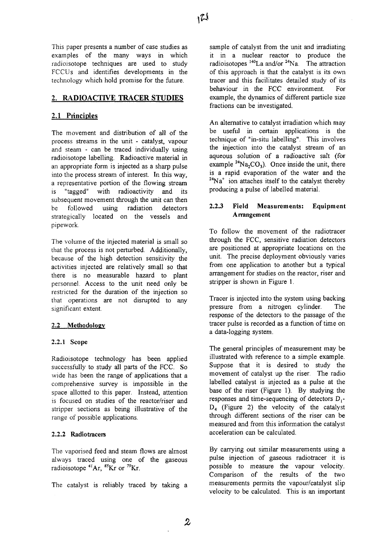This paper presents a number of case studies as examples of the many ways in which radioisotope techniques are used to study FCCUs and identifies developments in the technology which hold promise for the future.

## **2. RADIOACTIVE TRACER STUDIES**

## **2.1 Principles**

The movement and distribution of all of the process streams in the unit - catalyst, vapour and steam - can be traced individually using radioisotope labelling. Radioactive material in an appropriate form is injected as a sharp pulse into the process stream of interest. In this way, a representative portion of the flowing stream is "tagged" with radioactivity and its subsequent movement through the unit can then be followed using radiation detectors strategically located on the vessels and pipework.

The volume of the injected material is small so that the process is not perturbed. Additionally, because of the high detection sensitivity the activities injected are relatively small so that there is no measurable hazard to plant personnel. Access to the unit need only be restricted for the duration of the injection so that operations are not disrupted to any significant extent.

## 2.2 **Methodology**

### **2.2.1 Scope**

Radioisotope technology has been applied successfully to study all parts of the FCC. So wide has been the range of applications that a comprehensive survey is impossible in the space allotted to this paper. Instead, attention is focused on studies of the reactor/riser and stripper sections as being illustrative of the range of possible applications.

## 2.2.2 **Radio tracers**

The vaporised feed and steam flows are almost always traced using one of the gaseous radioisotope <sup>41</sup>Ar, <sup>85</sup>Kr or <sup>79</sup>Kr

The catalyst is reliably traced by taking a

sample of catalyst from the unit and irradiating it in a nuclear reactor to produce the radioisotopes <sup>140</sup>La and/or <sup>24</sup>Na. The attractior of this approach is that the catalyst is its own tracer and this facilitates detailed study of its behaviour in the FCC environment. For example, the dynamics of different particle size fractions can be investigated.

An alternative to catalyst irradiation which may be useful in certain applications is the technique of "in-situ labelling". This involves the injection into the catalyst stream of an aqueous solution of a radioactive salt (for example  ${}^{24}Na_2CO_3$ ). Once inside the unit, there is a rapid evaporation of the water and the  $24$ Na<sup>+</sup> ion attaches itself to the catalyst thereby producing a pulse of labelled material.

## **2.2.3 Field Measurements: Equipment Arrangement**

To follow the movement of the radiotracer through the FCC, sensitive radiation detectors are positioned at appropriate locations on the unit. The precise deployment obviously varies from one application to another but a typical arrangement for studies on the reactor, riser and stripper is shown in Figure 1.

Tracer is injected into the system using backing pressure from a nitrogen cylinder. The response of the detectors to the passage of the tracer pulse is recorded as a function of time on a data-logging system.

The general principles of measurement may be illustrated with reference to a simple example. Suppose that it is desired to study the movement of catalyst up the riser. The radio labelled catalyst is injected as a pulse at the base of the riser (Figure 1). By studying the responses and time-sequencing of detectors  $D_1$ - $D_4$  (Figure 2) the velocity of the catalyst through different sections of the riser can be measured and from this information the catalyst acceleration can be calculated.

By carrying out similar measurements using a pulse injection of gaseous radiotracer it is possible to measure the vapour velocity. Comparison of the results of the two measurements permits the vapour/catalyst slip velocity to be calculated. This is an important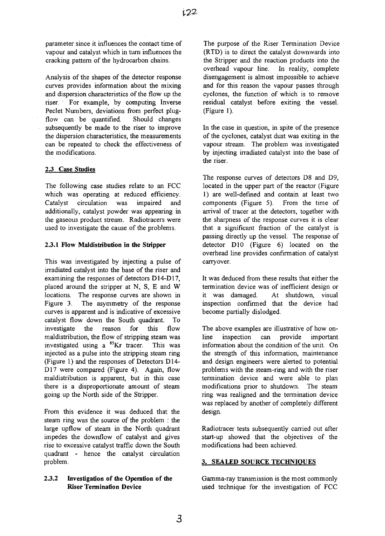parameter since it influences the contact time of vapour and catalyst which in turn influences the cracking pattern of the hydrocarbon chains.

Analysis of the shapes of the detector response curves provides information about the mixing and dispersion characteristics of the flow up the riser. For example, by computing Inverse Peclet Numbers, deviations from perfect plugflow can be quantified. Should changes subsequently be made to the riser to improve the dispersion characteristics, the measurements can be repeated to check the effectiveness of the modifications.

### 2.3 Case **Studies**

The following case studies relate to an FCC which was operating at reduced efficiency. Catalyst circulation was impaired and additionally, catalyst powder was appearing in the gaseous product stream. Radiotracers were used to investigate the cause of the problems.

## **2.3.1 Flow Maldistribution in the Stripper**

This was investigated by injecting a pulse of irradiated catalyst into the base of the riser and examining the responses of detectors D14-D17, placed around the stripper at N, S, E and W locations. The response curves are shown in Figure 3. The asymmetry of the response curves is apparent and is indicative of excessive catalyst flow down the South quadrant. To investigate the reason for this flow maldistribution, the flow of stripping steam was investigated using a  ${}^{85}$ Kr tracer. This was injected as a pulse into the stripping steam ring (Figure 1) and the responses of Detectors D14- D17 were compared (Figure 4). Again, flow maldistribution is apparent, but in this case there is a disproportionate amount of steam going up the North side of the Stripper.

From this evidence it was deduced that the steam ring was the source of the problem : the large upflow of steam in the North quadrant impedes the downflow of catalyst and gives rise to excessive catalyst traffic down the South quadrant - hence the catalyst circulation problem.

## **2.3.2 Investigation of the Operation of the Riser Termination Device**

The purpose of the Riser Termination Device (RTD) is to direct the catalyst downwards into the Stripper and the reaction products into the overhead vapour line. In reality, complete disengagement is almost impossible to achieve and for this reason the vapour passes through cyclones, the function of which is to remove residual catalyst before exiting the vessel. (Figure 1).

In the case in question, in spite of the presence of the cyclones, catalyst dust was exiting in the vapour stream. The problem was investigated by injecting irradiated catalyst into the base of the riser.

The response curves of detectors D8 and D9, located in the upper part of the reactor (Figure 1) are well-defined and contain at least two components (Figure 5). From the time of arrival of tracer at the detectors, together with the sharpness of the response curves it is clear that a significant fraction of the catalyst is passing directly up the vessel. The response of detector D10 (Figure 6) located on the overhead line provides confirmation of catalyst carryover.

It was deduced from these results that either the termination device was of inefficient design or it was damaged. At shutdown, visual inspection confirmed that the device had become partially dislodged.

The above examples are illustrative of how online inspection can provide important information about the condition of the unit. On the strength of this information, maintenance and design engineers were alerted to potential problems with the steam-ring and with the riser termination device and were able to plan modifications prior to shutdown. The steam ring was realigned and the termination device was replaced by another of completely different design.

Radiotracer tests subsequently carried out after start-up showed that the objectives of the modifications had been achieved.

## **3. SEALED SOURCE TECHNIQUES**

Gamma-ray transmission is the most commonly used technique for the investigation of FCC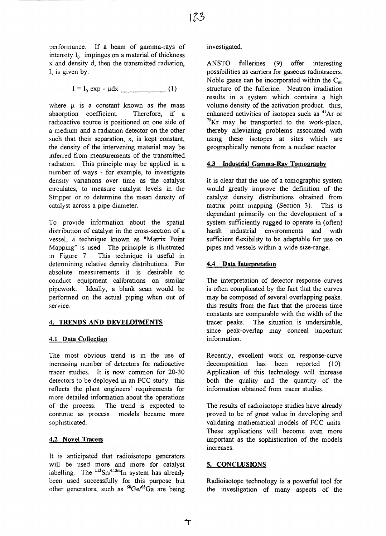performance. If a beam of gamma-rays of intensity  $I_0$  impinges on a material of thickness x and density d, then the transmitted radiation, I, is given by:

 $I = I_0 \exp - \mu dx$  (1)

where  $\mu$  is a constant known as the mass absorption coefficient. Therefore, if a radioactive source is positioned on one side of a medium and a radiation detector on the other such that their separation, x, is kept constant, the density of the intervening material may be inferred from measurements of the transmitted radiation. This principle may be applied in a number of ways - for example, to investigate density variations over time as the catalyst circulates, to measure catalyst levels in the Stripper or to determine the mean density of catalyst across a pipe diameter.

To provide information about the spatial distribution of catalyst in the cross-section of a vessel, a technique known as "Matrix Point Mapping" is used. The principle is illustrated in Figure 7. This technique is useful in determining relative density distributions. For absolute measurements it is desirable to conduct equipment calibrations on similar pipework. Ideally, a blank scan would be performed on the actual piping when out of service.

#### **4. TRENDS AND DEVELOPMENTS**

#### **4.1 Data Collection**

The most obvious trend is in the use of increasing number of detectors for radioactive tracer studies. It is now common for 20-30 detectors to be deployed in an FCC study, this reflects the plant engineers' requirements for more detailed information about the operations of the process. The trend is expected to continue as process models became more sophisticated.

#### 4.2 Novel Tracers

It is anticipated that radioisotope generators will be used more and more for catalyst labelling. The  $^{113}Sn/^{113m}In$  system has already been used successfully for this purpose but other generators, such as <sup>68</sup>Ge/<sup>68</sup>Ga are being

#### investigated.

ANSTO fullerines (9) offer interesting possibilities as carriers for gaseous radiotracers. Noble gases can be incorporated within the  $C_{60}$ structure of the fullerine. Neutron irradiation results in a system which contains a high volume density of the activation product, thus, enhanced activities of isotopes such as <sup>41</sup>Ar or  $79$ Kr may be transported to the work-place, thereby alleviating problems associated with using these isotopes at sites which are geographically remote from a nuclear reactor.

#### 4.3 **Industrial Gamma-Ray Tomography**

It is clear that the use of a tomographic system would greatly improve the definition of the catalyst density distributions obtained from matrix point mapping (Section 3). This is dependant primarily on the development of a system sufficiently rugged to operate in (often) harsh industrial environments and with sufficient flexibility to be adaptable for use on pipes and vessels within a wide size-range.

#### 4.4 **Data Interpretation**

The interpretation of detector response curves is often complicated by the fact that the curves may be composed of several overlapping peaks, this results from the fact that the process time constants are comparable with the width of the tracer peaks. The situation is undersirable, since peak-overlap may conceal important information.

Recently, excellent work on response-curve decomposition has been reported (10). Application of this technology will increase both the quality and the quantity of the information obtained from tracer studies.

The results of radioisotope studies have already proved to be of great value in developing and validating mathematical models of FCC units. These applications will become even more important as the sophistication of the models increases.

### **5. CONCLUSIONS**

ᠰ

Radioisotope technology is a powerful tool for the investigation of many aspects of the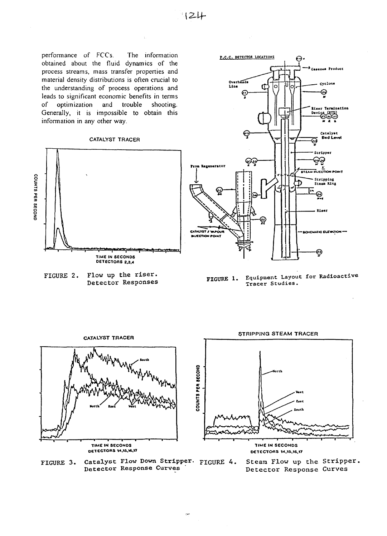performance of FCCs. The information obtained about the fluid dynamics of the process streams, mass transfer properties and material density distributions is often crucial to the understanding of process operations and leads to significant economic benefits in terms  $\sigma$ f optimization and trouble shooting. Generally, it is impossible to obtain this information in any other way.

#### CATALYST TRACER







Equipment Layout for Radioactive FIGURE 1. Tracer Studies.



Catalyst Flow Down Stripper. FIGURE 4. FIGURE 3. Detector Response Curves

Steam Flow up the Stripper. Detector Response Curves